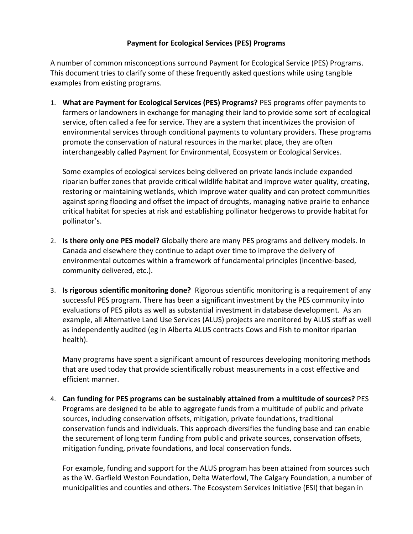## **Payment for Ecological Services (PES) Programs**

A number of common misconceptions surround Payment for Ecological Service (PES) Programs. This document tries to clarify some of these frequently asked questions while using tangible examples from existing programs.

1. **What are Payment for Ecological Services (PES) Programs?** PES programs offer payments to farmers or landowners in exchange for managing their land to provide some sort of ecological service, often called a fee for service. They are a system that incentivizes the provision of environmental services through conditional payments to voluntary providers. These programs promote the conservation of natural resources in the market place, they are often interchangeably called Payment for Environmental, Ecosystem or Ecological Services.

Some examples of ecological services being delivered on private lands include expanded riparian buffer zones that provide critical wildlife habitat and improve water quality, creating, restoring or maintaining wetlands, which improve water quality and can protect communities against spring flooding and offset the impact of droughts, managing native prairie to enhance critical habitat for species at risk and establishing pollinator hedgerows to provide habitat for pollinator's.

- 2. **Is there only one PES model?** Globally there are many PES programs and delivery models. In Canada and elsewhere they continue to adapt over time to improve the delivery of environmental outcomes within a framework of fundamental principles (incentive-based, community delivered, etc.).
- 3. **Is rigorous scientific monitoring done?** Rigorous scientific monitoring is a requirement of any successful PES program. There has been a significant investment by the PES community into evaluations of PES pilots as well as substantial investment in database development. As an example, all Alternative Land Use Services (ALUS) projects are monitored by ALUS staff as well as independently audited (eg in Alberta ALUS contracts Cows and Fish to monitor riparian health).

Many programs have spent a significant amount of resources developing monitoring methods that are used today that provide scientifically robust measurements in a cost effective and efficient manner.

4. **Can funding for PES programs can be sustainably attained from a multitude of sources?** PES Programs are designed to be able to aggregate funds from a multitude of public and private sources, including conservation offsets, mitigation, private foundations, traditional conservation funds and individuals. This approach diversifies the funding base and can enable the securement of long term funding from public and private sources, conservation offsets, mitigation funding, private foundations, and local conservation funds.

For example, funding and support for the ALUS program has been attained from sources such as the W. Garfield Weston Foundation, Delta Waterfowl, The Calgary Foundation, a number of municipalities and counties and others. The Ecosystem Services Initiative (ESI) that began in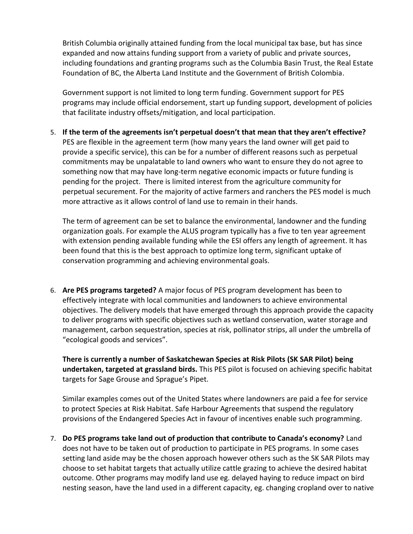British Columbia originally attained funding from the local municipal tax base, but has since expanded and now attains funding support from a variety of public and private sources, including foundations and granting programs such as the Columbia Basin Trust, the Real Estate Foundation of BC, the Alberta Land Institute and the Government of British Colombia.

Government support is not limited to long term funding. Government support for PES programs may include official endorsement, start up funding support, development of policies that facilitate industry offsets/mitigation, and local participation.

5. **If the term of the agreements isn't perpetual doesn't that mean that they aren't effective?** PES are flexible in the agreement term (how many years the land owner will get paid to provide a specific service), this can be for a number of different reasons such as perpetual commitments may be unpalatable to land owners who want to ensure they do not agree to something now that may have long-term negative economic impacts or future funding is pending for the project. There is limited interest from the agriculture community for perpetual securement. For the majority of active farmers and ranchers the PES model is much more attractive as it allows control of land use to remain in their hands.

The term of agreement can be set to balance the environmental, landowner and the funding organization goals. For example the ALUS program typically has a five to ten year agreement with extension pending available funding while the ESI offers any length of agreement. It has been found that this is the best approach to optimize long term, significant uptake of conservation programming and achieving environmental goals.

6. **Are PES programs targeted?** A major focus of PES program development has been to effectively integrate with local communities and landowners to achieve environmental objectives. The delivery models that have emerged through this approach provide the capacity to deliver programs with specific objectives such as wetland conservation, water storage and management, carbon sequestration, species at risk, pollinator strips, all under the umbrella of "ecological goods and services".

**There is currently a number of Saskatchewan Species at Risk Pilots (SK SAR Pilot) being undertaken, targeted at grassland birds.** This PES pilot is focused on achieving specific habitat targets for Sage Grouse and Sprague's Pipet.

Similar examples comes out of the United States where landowners are paid a fee for service to protect Species at Risk Habitat. Safe Harbour Agreements that suspend the regulatory provisions of the Endangered Species Act in favour of incentives enable such programming.

7. **Do PES programs take land out of production that contribute to Canada's economy?** Land does not have to be taken out of production to participate in PES programs. In some cases setting land aside may be the chosen approach however others such as the SK SAR Pilots may choose to set habitat targets that actually utilize cattle grazing to achieve the desired habitat outcome. Other programs may modify land use eg. delayed haying to reduce impact on bird nesting season, have the land used in a different capacity, eg. changing cropland over to native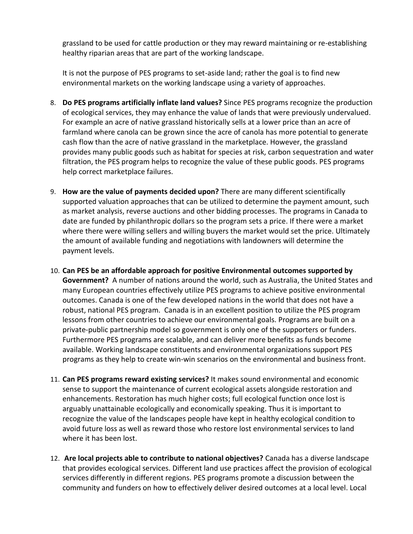grassland to be used for cattle production or they may reward maintaining or re-establishing healthy riparian areas that are part of the working landscape.

It is not the purpose of PES programs to set-aside land; rather the goal is to find new environmental markets on the working landscape using a variety of approaches.

- 8. **Do PES programs artificially inflate land values?** Since PES programs recognize the production of ecological services, they may enhance the value of lands that were previously undervalued. For example an acre of native grassland historically sells at a lower price than an acre of farmland where canola can be grown since the acre of canola has more potential to generate cash flow than the acre of native grassland in the marketplace. However, the grassland provides many public goods such as habitat for species at risk, carbon sequestration and water filtration, the PES program helps to recognize the value of these public goods. PES programs help correct marketplace failures.
- 9. **How are the value of payments decided upon?** There are many different scientifically supported valuation approaches that can be utilized to determine the payment amount, such as market analysis, reverse auctions and other bidding processes. The programs in Canada to date are funded by philanthropic dollars so the program sets a price. If there were a market where there were willing sellers and willing buyers the market would set the price. Ultimately the amount of available funding and negotiations with landowners will determine the payment levels.
- 10. **Can PES be an affordable approach for positive Environmental outcomes supported by Government?** A number of nations around the world, such as Australia, the United States and many European countries effectively utilize PES programs to achieve positive environmental outcomes. Canada is one of the few developed nations in the world that does not have a robust, national PES program. Canada is in an excellent position to utilize the PES program lessons from other countries to achieve our environmental goals. Programs are built on a private-public partnership model so government is only one of the supporters or funders. Furthermore PES programs are scalable, and can deliver more benefits as funds become available. Working landscape constituents and environmental organizations support PES programs as they help to create win-win scenarios on the environmental and business front.
- 11. **Can PES programs reward existing services?** It makes sound environmental and economic sense to support the maintenance of current ecological assets alongside restoration and enhancements. Restoration has much higher costs; full ecological function once lost is arguably unattainable ecologically and economically speaking. Thus it is important to recognize the value of the landscapes people have kept in healthy ecological condition to avoid future loss as well as reward those who restore lost environmental services to land where it has been lost.
- 12. **Are local projects able to contribute to national objectives?** Canada has a diverse landscape that provides ecological services. Different land use practices affect the provision of ecological services differently in different regions. PES programs promote a discussion between the community and funders on how to effectively deliver desired outcomes at a local level. Local